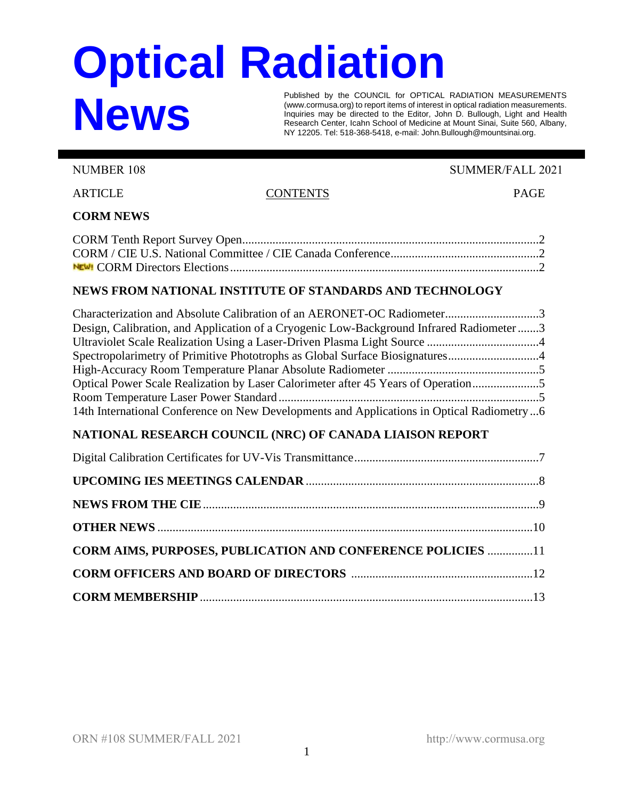# **Optical Radiation News**

Published by the COUNCIL for OPTICAL RADIATION MEASUREMENTS (www.cormusa.org) to report items of interest in optical radiation measurements. Inquiries may be directed to the Editor, John D. Bullough, Light and Health Research Center, Icahn School of Medicine at Mount Sinai, Suite 560, Albany, NY 12205. Tel: 518-368-5418, e-mail: John.Bullough@mountsinai.org.

NUMBER 108 SUMMER/FALL 2021

ARTICLE CONTENTS PAGE

# **CORM NEWS**

# **NEWS FROM NATIONAL INSTITUTE OF STANDARDS AND TECHNOLOGY**

| Design, Calibration, and Application of a Cryogenic Low-Background Infrared Radiometer 3  |  |
|-------------------------------------------------------------------------------------------|--|
|                                                                                           |  |
| Spectropolarimetry of Primitive Phototrophs as Global Surface Biosignatures               |  |
|                                                                                           |  |
| Optical Power Scale Realization by Laser Calorimeter after 45 Years of Operation          |  |
|                                                                                           |  |
| 14th International Conference on New Developments and Applications in Optical Radiometry6 |  |

# **NATIONAL RESEARCH COUNCIL (NRC) OF CANADA LIAISON REPORT**

| <b>CORM AIMS, PURPOSES, PUBLICATION AND CONFERENCE POLICIES 11</b> |  |
|--------------------------------------------------------------------|--|
|                                                                    |  |
|                                                                    |  |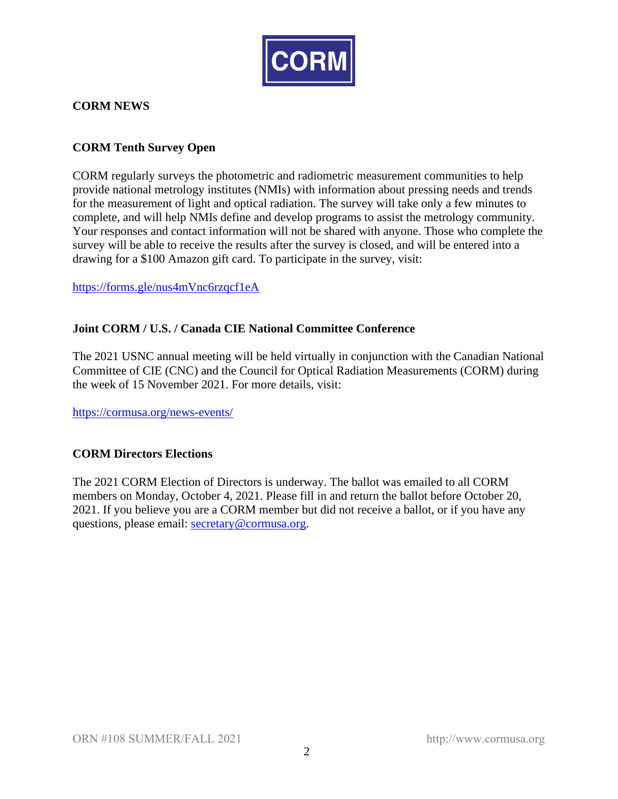

## **CORM NEWS**

#### **CORM Tenth Survey Open**

CORM regularly surveys the photometric and radiometric measurement communities to help provide national metrology institutes (NMIs) with information about pressing needs and trends for the measurement of light and optical radiation. The survey will take only a few minutes to complete, and will help NMIs define and develop programs to assist the metrology community. Your responses and contact information will not be shared with anyone. Those who complete the survey will be able to receive the results after the survey is closed, and will be entered into a drawing for a \$100 Amazon gift card. To participate in the survey, visit:

<https://forms.gle/nus4mVnc6rzqcf1eA>

#### **Joint CORM / U.S. / Canada CIE National Committee Conference**

The 2021 USNC annual meeting will be held virtually in conjunction with the Canadian National Committee of CIE (CNC) and the Council for Optical Radiation Measurements (CORM) during the week of 15 November 2021. For more details, visit:

<https://cormusa.org/news-events/>

#### **CORM Directors Elections**

The 2021 CORM Election of Directors is underway. The ballot was emailed to all CORM members on Monday, October 4, 2021. Please fill in and return the ballot before October 20, 2021. If you believe you are a CORM member but did not receive a ballot, or if you have any questions, please email: [secretary@cormusa.org.](mailto:secretary@cormusa.org)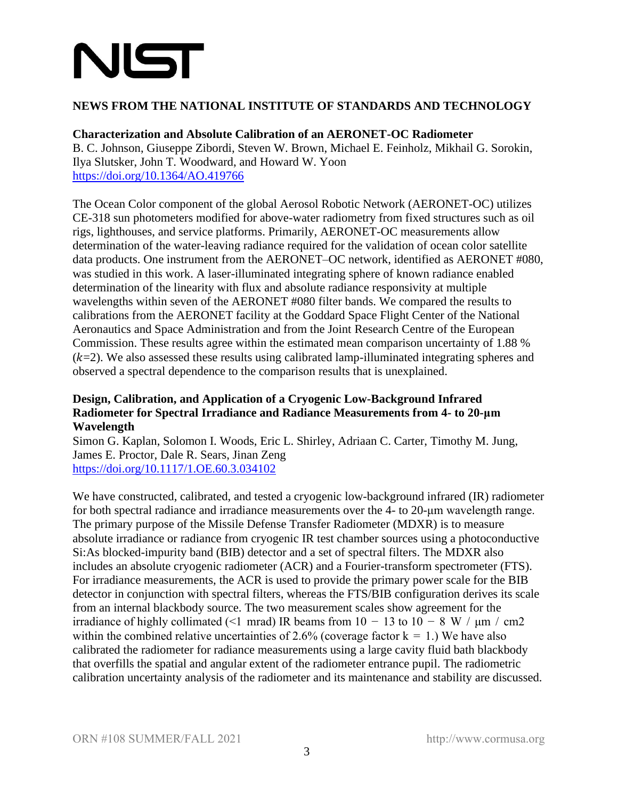# NIST

## **NEWS FROM THE NATIONAL INSTITUTE OF STANDARDS AND TECHNOLOGY**

### **Characterization and Absolute Calibration of an AERONET-OC Radiometer**

B. C. Johnson, Giuseppe Zibordi, Steven W. Brown, Michael E. Feinholz, Mikhail G. Sorokin, Ilya Slutsker, John T. Woodward, and Howard W. Yoon <https://doi.org/10.1364/AO.419766>

The Ocean Color component of the global Aerosol Robotic Network (AERONET-OC) utilizes CE-318 sun photometers modified for above-water radiometry from fixed structures such as oil rigs, lighthouses, and service platforms. Primarily, AERONET-OC measurements allow determination of the water-leaving radiance required for the validation of ocean color satellite data products. One instrument from the AERONET–OC network, identified as AERONET #080, was studied in this work. A laser-illuminated integrating sphere of known radiance enabled determination of the linearity with flux and absolute radiance responsivity at multiple wavelengths within seven of the AERONET #080 filter bands. We compared the results to calibrations from the AERONET facility at the Goddard Space Flight Center of the National Aeronautics and Space Administration and from the Joint Research Centre of the European Commission. These results agree within the estimated mean comparison uncertainty of 1.88 %  $(k=2)$ . We also assessed these results using calibrated lamp-illuminated integrating spheres and observed a spectral dependence to the comparison results that is unexplained.

#### **Design, Calibration, and Application of a Cryogenic Low-Background Infrared Radiometer for Spectral Irradiance and Radiance Measurements from 4- to 20-μm Wavelength**

Simon G. Kaplan, Solomon I. Woods, Eric L. Shirley, Adriaan C. Carter, Timothy M. Jung, James E. Proctor, Dale R. Sears, Jinan Zeng <https://doi.org/10.1117/1.OE.60.3.034102>

We have constructed, calibrated, and tested a cryogenic low-background infrared (IR) radiometer for both spectral radiance and irradiance measurements over the 4- to 20-μm wavelength range. The primary purpose of the Missile Defense Transfer Radiometer (MDXR) is to measure absolute irradiance or radiance from cryogenic IR test chamber sources using a photoconductive Si:As blocked-impurity band (BIB) detector and a set of spectral filters. The MDXR also includes an absolute cryogenic radiometer (ACR) and a Fourier-transform spectrometer (FTS). For irradiance measurements, the ACR is used to provide the primary power scale for the BIB detector in conjunction with spectral filters, whereas the FTS/BIB configuration derives its scale from an internal blackbody source. The two measurement scales show agreement for the irradiance of highly collimated (<1 mrad) IR beams from  $10 - 13$  to  $10 - 8$  W /  $\mu$ m / cm2 within the combined relative uncertainties of 2.6% (coverage factor  $k = 1$ .) We have also calibrated the radiometer for radiance measurements using a large cavity fluid bath blackbody that overfills the spatial and angular extent of the radiometer entrance pupil. The radiometric calibration uncertainty analysis of the radiometer and its maintenance and stability are discussed.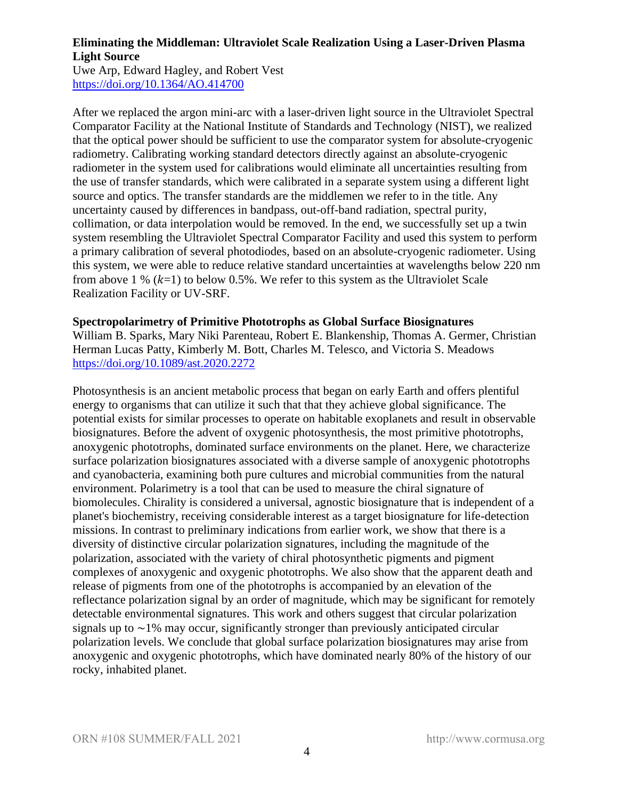## **Eliminating the Middleman: Ultraviolet Scale Realization Using a Laser-Driven Plasma Light Source**

Uwe Arp, Edward Hagley, and Robert Vest <https://doi.org/10.1364/AO.414700>

After we replaced the argon mini-arc with a laser-driven light source in the Ultraviolet Spectral Comparator Facility at the National Institute of Standards and Technology (NIST), we realized that the optical power should be sufficient to use the comparator system for absolute-cryogenic radiometry. Calibrating working standard detectors directly against an absolute-cryogenic radiometer in the system used for calibrations would eliminate all uncertainties resulting from the use of transfer standards, which were calibrated in a separate system using a different light source and optics. The transfer standards are the middlemen we refer to in the title. Any uncertainty caused by differences in bandpass, out-off-band radiation, spectral purity, collimation, or data interpolation would be removed. In the end, we successfully set up a twin system resembling the Ultraviolet Spectral Comparator Facility and used this system to perform a primary calibration of several photodiodes, based on an absolute-cryogenic radiometer. Using this system, we were able to reduce relative standard uncertainties at wavelengths below 220 nm from above 1 %  $(k=1)$  to below 0.5%. We refer to this system as the Ultraviolet Scale Realization Facility or UV-SRF.

#### **Spectropolarimetry of Primitive Phototrophs as Global Surface Biosignatures**

William B. Sparks, Mary Niki Parenteau, Robert E. Blankenship, Thomas A. Germer, Christian Herman Lucas Patty, Kimberly M. Bott, Charles M. Telesco, and Victoria S. Meadows <https://doi.org/10.1089/ast.2020.2272>

Photosynthesis is an ancient metabolic process that began on early Earth and offers plentiful energy to organisms that can utilize it such that that they achieve global significance. The potential exists for similar processes to operate on habitable exoplanets and result in observable biosignatures. Before the advent of oxygenic photosynthesis, the most primitive phototrophs, anoxygenic phototrophs, dominated surface environments on the planet. Here, we characterize surface polarization biosignatures associated with a diverse sample of anoxygenic phototrophs and cyanobacteria, examining both pure cultures and microbial communities from the natural environment. Polarimetry is a tool that can be used to measure the chiral signature of biomolecules. Chirality is considered a universal, agnostic biosignature that is independent of a planet's biochemistry, receiving considerable interest as a target biosignature for life-detection missions. In contrast to preliminary indications from earlier work, we show that there is a diversity of distinctive circular polarization signatures, including the magnitude of the polarization, associated with the variety of chiral photosynthetic pigments and pigment complexes of anoxygenic and oxygenic phototrophs. We also show that the apparent death and release of pigments from one of the phototrophs is accompanied by an elevation of the reflectance polarization signal by an order of magnitude, which may be significant for remotely detectable environmental signatures. This work and others suggest that circular polarization signals up to ∼1% may occur, significantly stronger than previously anticipated circular polarization levels. We conclude that global surface polarization biosignatures may arise from anoxygenic and oxygenic phototrophs, which have dominated nearly 80% of the history of our rocky, inhabited planet.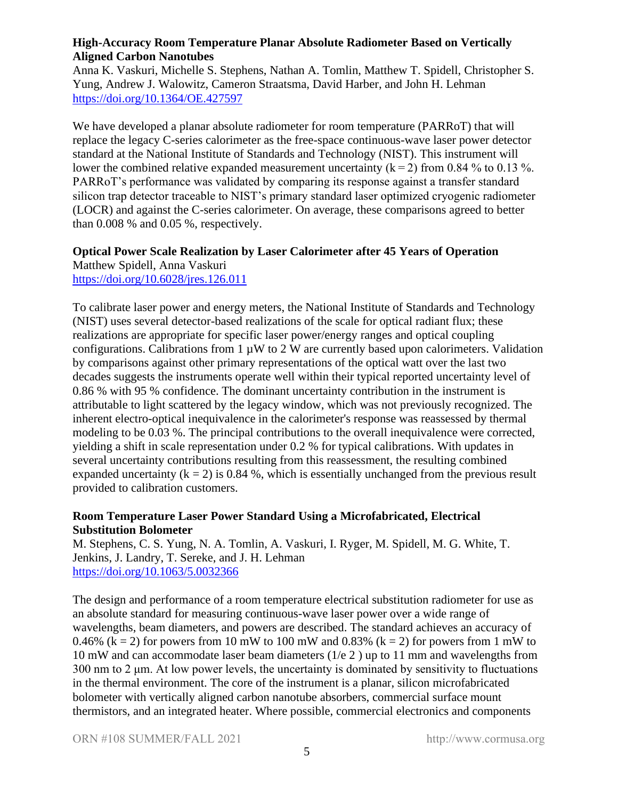#### **High-Accuracy Room Temperature Planar Absolute Radiometer Based on Vertically Aligned Carbon Nanotubes**

Anna K. Vaskuri, Michelle S. Stephens, Nathan A. Tomlin, Matthew T. Spidell, Christopher S. Yung, Andrew J. Walowitz, Cameron Straatsma, David Harber, and John H. Lehman <https://doi.org/10.1364/OE.427597>

We have developed a planar absolute radiometer for room temperature (PARRoT) that will replace the legacy C-series calorimeter as the free-space continuous-wave laser power detector standard at the National Institute of Standards and Technology (NIST). This instrument will lower the combined relative expanded measurement uncertainty  $(k=2)$  from 0.84 % to 0.13 %. PARRoT's performance was validated by comparing its response against a transfer standard silicon trap detector traceable to NIST's primary standard laser optimized cryogenic radiometer (LOCR) and against the C-series calorimeter. On average, these comparisons agreed to better than 0.008 % and 0.05 %, respectively.

#### **Optical Power Scale Realization by Laser Calorimeter after 45 Years of Operation** Matthew Spidell, Anna Vaskuri

<https://doi.org/10.6028/jres.126.011>

To calibrate laser power and energy meters, the National Institute of Standards and Technology (NIST) uses several detector-based realizations of the scale for optical radiant flux; these realizations are appropriate for specific laser power/energy ranges and optical coupling configurations. Calibrations from  $1 \mu W$  to  $2 W$  are currently based upon calorimeters. Validation by comparisons against other primary representations of the optical watt over the last two decades suggests the instruments operate well within their typical reported uncertainty level of 0.86 % with 95 % confidence. The dominant uncertainty contribution in the instrument is attributable to light scattered by the legacy window, which was not previously recognized. The inherent electro-optical inequivalence in the calorimeter's response was reassessed by thermal modeling to be 0.03 %. The principal contributions to the overall inequivalence were corrected, yielding a shift in scale representation under 0.2 % for typical calibrations. With updates in several uncertainty contributions resulting from this reassessment, the resulting combined expanded uncertainty  $(k = 2)$  is 0.84 %, which is essentially unchanged from the previous result provided to calibration customers.

# **Room Temperature Laser Power Standard Using a Microfabricated, Electrical Substitution Bolometer**

M. Stephens, C. S. Yung, N. A. Tomlin, A. Vaskuri, I. Ryger, M. Spidell, M. G. White, T. Jenkins, J. Landry, T. Sereke, and J. H. Lehman <https://doi.org/10.1063/5.0032366>

The design and performance of a room temperature electrical substitution radiometer for use as an absolute standard for measuring continuous-wave laser power over a wide range of wavelengths, beam diameters, and powers are described. The standard achieves an accuracy of 0.46% ( $k = 2$ ) for powers from 10 mW to 100 mW and 0.83% ( $k = 2$ ) for powers from 1 mW to 10 mW and can accommodate laser beam diameters (1/e 2 ) up to 11 mm and wavelengths from  $300 \text{ nm}$  to 2  $\mu$ m. At low power levels, the uncertainty is dominated by sensitivity to fluctuations in the thermal environment. The core of the instrument is a planar, silicon microfabricated bolometer with vertically aligned carbon nanotube absorbers, commercial surface mount thermistors, and an integrated heater. Where possible, commercial electronics and components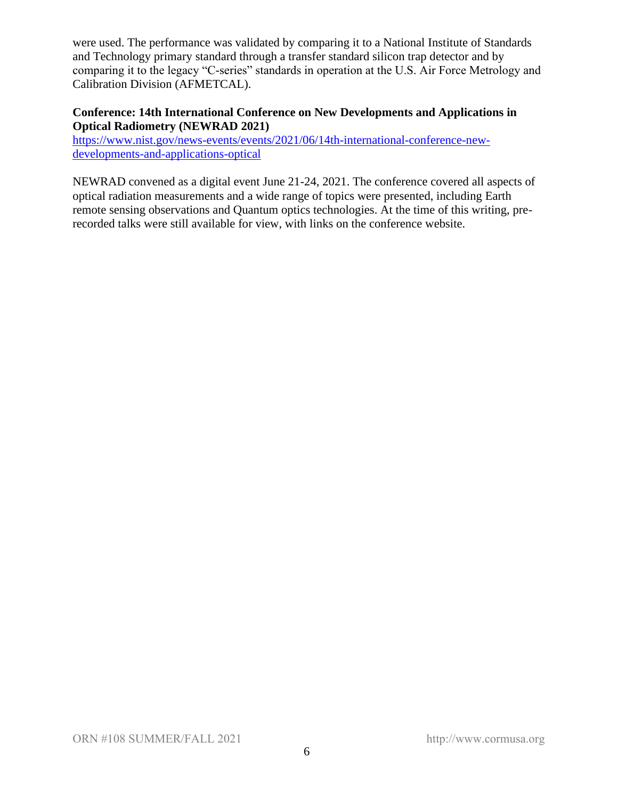were used. The performance was validated by comparing it to a National Institute of Standards and Technology primary standard through a transfer standard silicon trap detector and by comparing it to the legacy "C-series" standards in operation at the U.S. Air Force Metrology and Calibration Division (AFMETCAL).

#### **Conference: 14th International Conference on New Developments and Applications in Optical Radiometry (NEWRAD 2021)**

[https://www.nist.gov/news-events/events/2021/06/14th-international-conference-new](https://www.nist.gov/news-events/events/2021/06/14th-international-conference-new-developments-and-applications-optical)[developments-and-applications-optical](https://www.nist.gov/news-events/events/2021/06/14th-international-conference-new-developments-and-applications-optical)

NEWRAD convened as a digital event June 21-24, 2021. The conference covered all aspects of optical radiation measurements and a wide range of topics were presented, including Earth remote sensing observations and Quantum optics technologies. At the time of this writing, prerecorded talks were still available for view, with links on the conference website.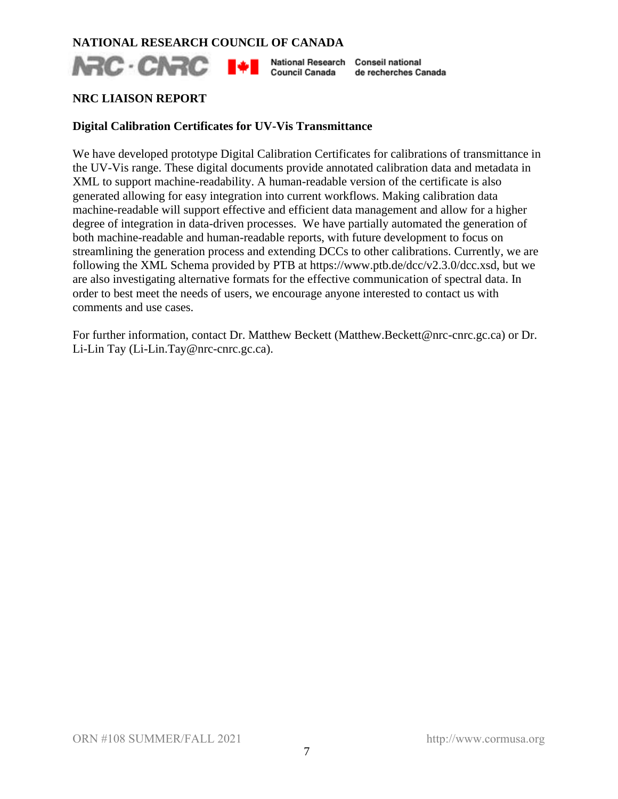#### **NATIONAL RESEARCH COUNCIL OF CANADA**

**NRC** · CNRC I<sup>+</sup> I National Research Conseil national Council Canada

de recherches Canada

#### **NRC LIAISON REPORT**

#### **Digital Calibration Certificates for UV-Vis Transmittance**

We have developed prototype Digital Calibration Certificates for calibrations of transmittance in the UV-Vis range. These digital documents provide annotated calibration data and metadata in XML to support machine-readability. A human-readable version of the certificate is also generated allowing for easy integration into current workflows. Making calibration data machine-readable will support effective and efficient data management and allow for a higher degree of integration in data-driven processes. We have partially automated the generation of both machine-readable and human-readable reports, with future development to focus on streamlining the generation process and extending DCCs to other calibrations. Currently, we are following the XML Schema provided by PTB at https://www.ptb.de/dcc/v2.3.0/dcc.xsd, but we are also investigating alternative formats for the effective communication of spectral data. In order to best meet the needs of users, we encourage anyone interested to contact us with comments and use cases.

For further information, contact Dr. Matthew Beckett (Matthew.Beckett@nrc-cnrc.gc.ca) or Dr. Li-Lin Tay (Li-Lin.Tay@nrc-cnrc.gc.ca).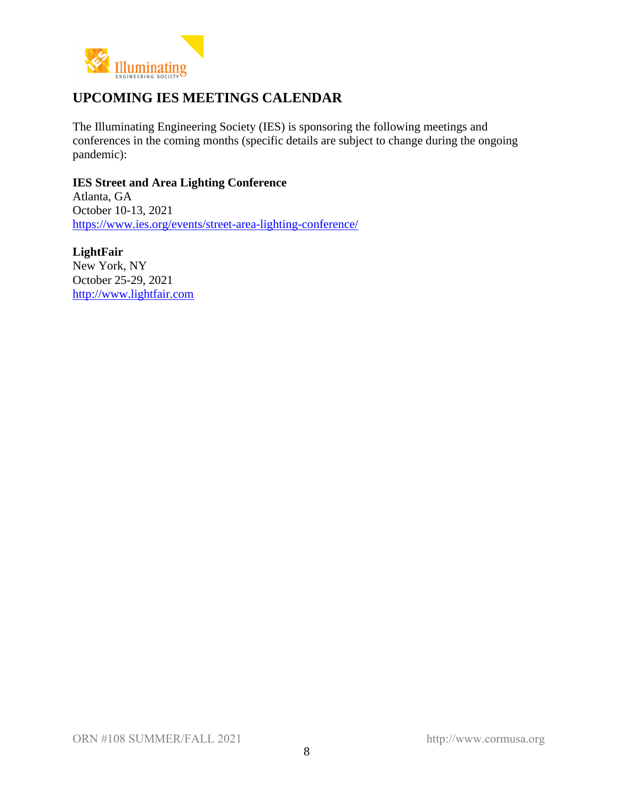

# **UPCOMING IES MEETINGS CALENDAR**

The Illuminating Engineering Society (IES) is sponsoring the following meetings and conferences in the coming months (specific details are subject to change during the ongoing pandemic):

**IES Street and Area Lighting Conference** Atlanta, GA October 10-13, 2021 <https://www.ies.org/events/street-area-lighting-conference/>

**LightFair** New York, NY October 25-29, 2021 [http://www.lightfair.com](http://www.lightfair.com/)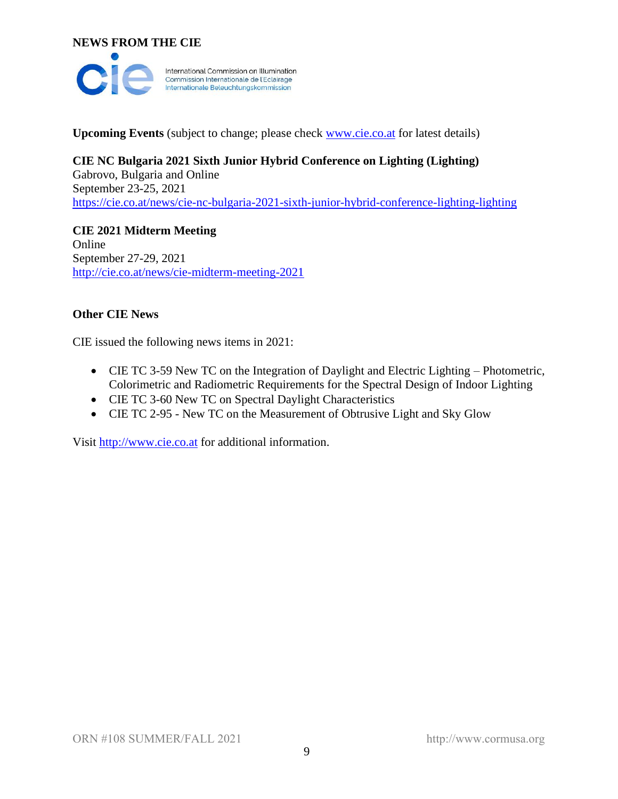**NEWS FROM THE CIE**



**Upcoming Events** (subject to change; please check [www.cie.co.at](http://www.cie.co.at/) for latest details)

# **CIE NC Bulgaria 2021 Sixth Junior Hybrid Conference on Lighting (Lighting)** Gabrovo, Bulgaria and Online

September 23-25, 2021 <https://cie.co.at/news/cie-nc-bulgaria-2021-sixth-junior-hybrid-conference-lighting-lighting>

**CIE 2021 Midterm Meeting** Online September 27-29, 2021 <http://cie.co.at/news/cie-midterm-meeting-2021>

## **Other CIE News**

CIE issued the following news items in 2021:

- CIE TC 3-59 New TC on the Integration of Daylight and Electric Lighting Photometric, Colorimetric and Radiometric Requirements for the Spectral Design of Indoor Lighting
- CIE TC 3-60 New TC on Spectral Daylight Characteristics
- CIE TC 2-95 New TC on the Measurement of Obtrusive Light and Sky Glow

Visit [http://www.cie.co.at](http://www.cie.co.at/) for additional information.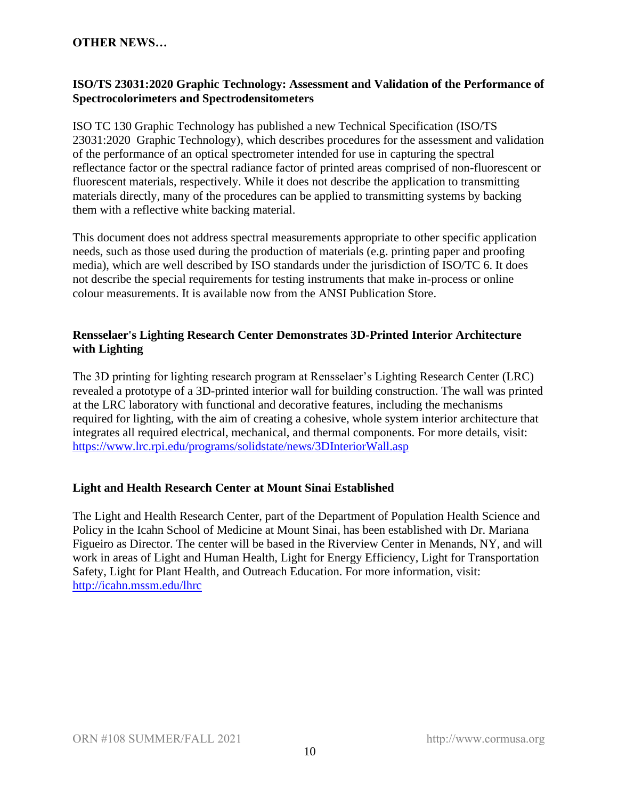#### **OTHER NEWS…**

#### **ISO/TS 23031:2020 Graphic Technology: Assessment and Validation of the Performance of Spectrocolorimeters and Spectrodensitometers**

ISO TC 130 Graphic Technology has published a new Technical Specification (ISO/TS 23031:2020 Graphic Technology), which describes procedures for the assessment and validation of the performance of an optical spectrometer intended for use in capturing the spectral reflectance factor or the spectral radiance factor of printed areas comprised of non-fluorescent or fluorescent materials, respectively. While it does not describe the application to transmitting materials directly, many of the procedures can be applied to transmitting systems by backing them with a reflective white backing material.

This document does not address spectral measurements appropriate to other specific application needs, such as those used during the production of materials (e.g. printing paper and proofing media), which are well described by ISO standards under the jurisdiction of ISO/TC 6. It does not describe the special requirements for testing instruments that make in-process or online colour measurements. It is available now from the ANSI Publication Store.

#### **Rensselaer's Lighting Research Center Demonstrates 3D-Printed Interior Architecture with Lighting**

The 3D printing for lighting research program at Rensselaer's Lighting Research Center (LRC) revealed a prototype of a 3D-printed interior wall for building construction. The wall was printed at the LRC laboratory with functional and decorative features, including the mechanisms required for lighting, with the aim of creating a cohesive, whole system interior architecture that integrates all required electrical, mechanical, and thermal components. For more details, visit: <https://www.lrc.rpi.edu/programs/solidstate/news/3DInteriorWall.asp>

#### **Light and Health Research Center at Mount Sinai Established**

The Light and Health Research Center, part of the Department of Population Health Science and Policy in the Icahn School of Medicine at Mount Sinai, has been established with Dr. Mariana Figueiro as Director. The center will be based in the Riverview Center in Menands, NY, and will work in areas of Light and Human Health, Light for Energy Efficiency, Light for Transportation Safety, Light for Plant Health, and Outreach Education. For more information, visit: <http://icahn.mssm.edu/lhrc>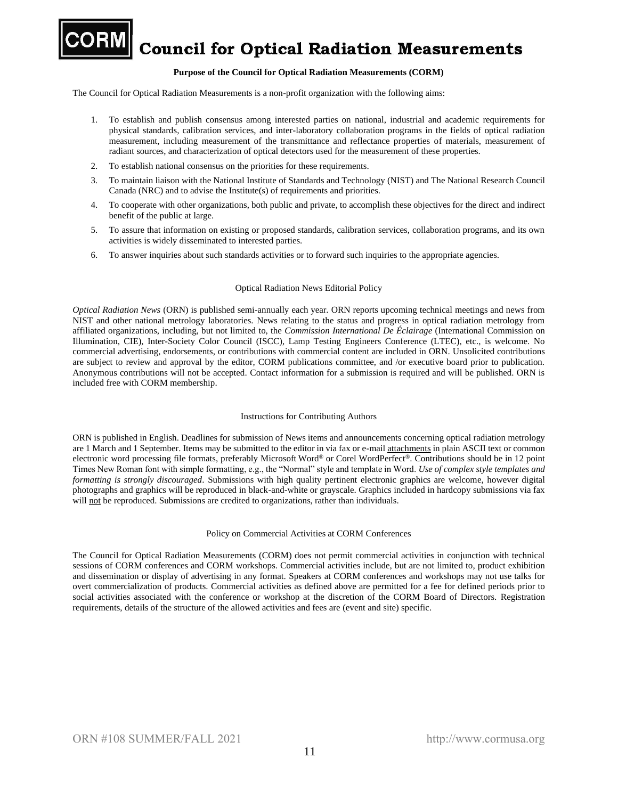

**Council for Optical Radiation Measurements** 

#### **Purpose of the Council for Optical Radiation Measurements (CORM)**

The Council for Optical Radiation Measurements is a non-profit organization with the following aims:

- 1. To establish and publish consensus among interested parties on national, industrial and academic requirements for physical standards, calibration services, and inter-laboratory collaboration programs in the fields of optical radiation measurement, including measurement of the transmittance and reflectance properties of materials, measurement of radiant sources, and characterization of optical detectors used for the measurement of these properties.
- 2. To establish national consensus on the priorities for these requirements.
- 3. To maintain liaison with the National Institute of Standards and Technology (NIST) and The National Research Council Canada (NRC) and to advise the Institute(s) of requirements and priorities.
- 4. To cooperate with other organizations, both public and private, to accomplish these objectives for the direct and indirect benefit of the public at large.
- 5. To assure that information on existing or proposed standards, calibration services, collaboration programs, and its own activities is widely disseminated to interested parties.
- 6. To answer inquiries about such standards activities or to forward such inquiries to the appropriate agencies.

#### Optical Radiation News Editorial Policy

*Optical Radiation News* (ORN) is published semi-annually each year. ORN reports upcoming technical meetings and news from NIST and other national metrology laboratories. News relating to the status and progress in optical radiation metrology from affiliated organizations, including, but not limited to, the *Commission International De Éclairage* (International Commission on Illumination, CIE), Inter-Society Color Council (ISCC), Lamp Testing Engineers Conference (LTEC), etc., is welcome. No commercial advertising, endorsements, or contributions with commercial content are included in ORN. Unsolicited contributions are subject to review and approval by the editor, CORM publications committee, and /or executive board prior to publication. Anonymous contributions will not be accepted. Contact information for a submission is required and will be published. ORN is included free with CORM membership.

#### Instructions for Contributing Authors

ORN is published in English. Deadlines for submission of News items and announcements concerning optical radiation metrology are 1 March and 1 September. Items may be submitted to the editor in via fax or e-mail attachments in plain ASCII text or common electronic word processing file formats, preferably Microsoft Word® or Corel WordPerfect®. Contributions should be in 12 point Times New Roman font with simple formatting, e.g., the "Normal" style and template in Word. *Use of complex style templates and formatting is strongly discouraged*. Submissions with high quality pertinent electronic graphics are welcome, however digital photographs and graphics will be reproduced in black-and-white or grayscale. Graphics included in hardcopy submissions via fax will not be reproduced. Submissions are credited to organizations, rather than individuals.

#### Policy on Commercial Activities at CORM Conferences

The Council for Optical Radiation Measurements (CORM) does not permit commercial activities in conjunction with technical sessions of CORM conferences and CORM workshops. Commercial activities include, but are not limited to, product exhibition and dissemination or display of advertising in any format. Speakers at CORM conferences and workshops may not use talks for overt commercialization of products. Commercial activities as defined above are permitted for a fee for defined periods prior to social activities associated with the conference or workshop at the discretion of the CORM Board of Directors. Registration requirements, details of the structure of the allowed activities and fees are (event and site) specific.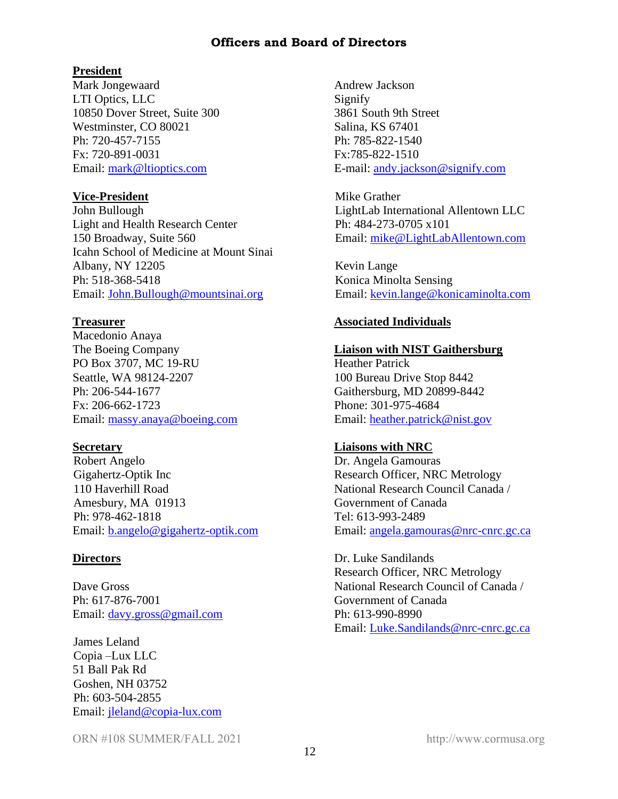#### **Officers and Board of Directors**

#### **President**

Mark Jongewaard LTI Optics, LLC 10850 Dover Street, Suite 300 Westminster, CO 80021 Ph: 720-457-7155 Fx: 720-891-0031 Email: [mark@ltioptics.com](mailto:mark@ltioptics.com)

#### **Vice-President**

John Bullough Light and Health Research Center 150 Broadway, Suite 560 Icahn School of Medicine at Mount Sinai Albany, NY 12205 Ph: 518-368-5418 Email: [John.B](mailto:John.)ullough@mountsinai.org

#### **Treasurer**

Macedonio Anaya The Boeing Company PO Box 3707, MC 19-RU Seattle, WA 98124-2207 Ph: 206-544-1677 Fx: 206-662-1723 Email: [massy.anaya@boeing.com](mailto:massy.anaya@boeing.com)

#### **Secretary**

Robert Angelo Gigahertz-Optik Inc 110 Haverhill Road Amesbury, MA 01913 Ph: 978-462-1818 Email: [b.angelo@gigahertz-optik.com](mailto:b.angelo@gigahertz-optik.com)

#### **Directors**

Dave Gross Ph: 617-876-7001 Email: [davy.gross@gmail.com](mailto:davy.gross@gmail.com)

James Leland Copia –Lux LLC 51 Ball Pak Rd Goshen, NH 03752 Ph: 603-504-2855 Email: [jleland@copia-lux.com](mailto:jleland@copia-lux.com) Andrew Jackson Signify 3861 South 9th Street Salina, KS 67401 Ph: 785-822-1540 Fx:785-822-1510 E-mail: [andy.jackson@signify.com](mailto:andy.jackson@signify.com)

Mike Grather LightLab International Allentown LLC Ph: 484-273-0705 x101 Email: [mike@LightLabAllentown.com](mailto:mike@LightLabAllentown.com)

Kevin Lange Konica Minolta Sensing Email: [kevin.lange@konicaminolta.com](mailto:kevin.lange@konicaminolta.com)

#### **Associated Individuals**

#### **Liaison with NIST Gaithersburg**

Heather Patrick 100 Bureau Drive Stop 8442 Gaithersburg, MD 20899-8442 Phone: 301-975-4684 Email: [heather.patrick@nist.gov](mailto:heather.patrick@nist.gov)

#### **Liaisons with NRC**

Dr. Angela Gamouras Research Officer, NRC Metrology National Research Council Canada / Government of Canada Tel: 613-993-2489 Email: [angela.gamouras@nrc-cnrc.gc.ca](mailto:angela.gamouras@nrc-cnrc.gc.ca)

Dr. Luke Sandilands Research Officer, NRC Metrology National Research Council of Canada / Government of Canada Ph: 613-990-8990 Email: [Luke.Sandilands@nrc-cnrc.gc.ca](mailto:Luke.Sandilands@nrc-cnrc.gc.ca)

ORN #108 SUMMER/FALL 2021 http://www.cormusa.org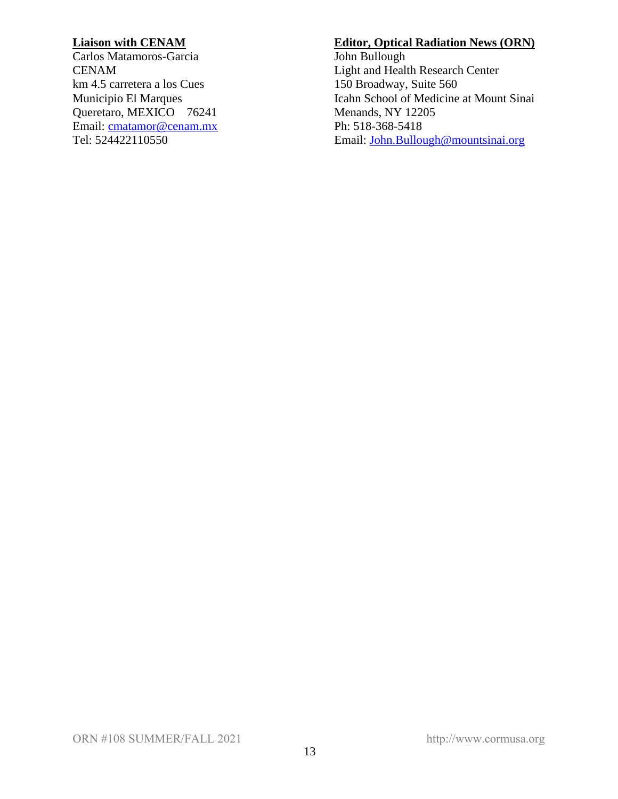## **Liaison with CENAM**

Carlos Matamoros-Garcia CENAM km 4.5 carretera a los Cues Municipio El Marques Queretaro, MEXICO 76241 Email: [cmatamor@cenam.mx](mailto:cmatamor@cenam.mx) Tel: 524422110550

#### **Editor, Optical Radiation News (ORN)**

John Bullough Light and Health Research Center 150 Broadway, Suite 560 Icahn School of Medicine at Mount Sinai Menands, NY 12205 Ph: 518-368-5418 Email: [John.Bullough@mountsinai.org](mailto:John.Bullough@mountsinai.org)